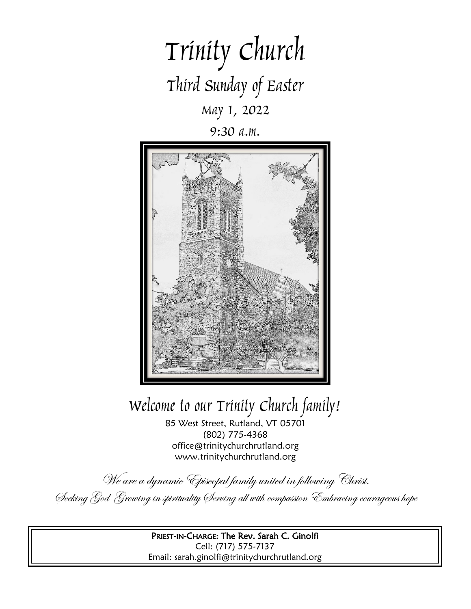

9:30 a.m.



# Welcome to our Trinity Church family!

85 West Street, Rutland, VT 05701 (802) 775-4368 office@trinitychurchrutland.org www.trinitychurchrutland.org

We are a dynamic Episcopal family united in following Christ. Seeking God Growing in spirituality Serving all with compassion Embracing courageous hope

> PRIEST-IN-CHARGE: The Rev. Sarah C. Ginolfi Cell: (717) 575-7137 Email: sarah.ginolfi@trinitychurchrutland.org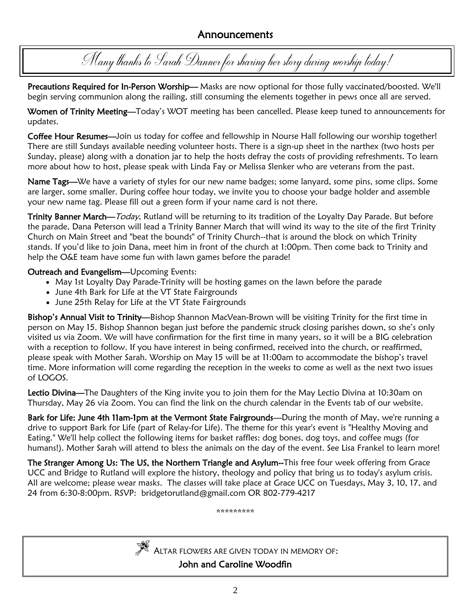## Announcements

Many thanks to Sarah Danner for sharing her story during worship today!

Precautions Required for In-Person Worship— Masks are now optional for those fully vaccinated/boosted. We'll begin serving communion along the railing, still consuming the elements together in pews once all are served.

Women of Trinity Meeting—Today's WOT meeting has been cancelled. Please keep tuned to announcements for updates.

Coffee Hour Resumes—Join us today for coffee and fellowship in Nourse Hall following our worship together! There are still Sundays available needing volunteer hosts. There is a sign-up sheet in the narthex (two hosts per Sunday, please) along with a donation jar to help the hosts defray the costs of providing refreshments. To learn more about how to host, please speak with Linda Fay or Melissa Slenker who are veterans from the past.

Name Tags—We have a variety of styles for our new name badges; some lanyard, some pins, some clips. Some are larger, some smaller. During coffee hour today, we invite you to choose your badge holder and assemble your new name tag. Please fill out a green form if your name card is not there.

Trinity Banner March—Today, Rutland will be returning to its tradition of the Loyalty Day Parade. But before the parade, Dana Peterson will lead a Trinity Banner March that will wind its way to the site of the first Trinity Church on Main Street and "beat the bounds" of Trinity Church--that is around the block on which Trinity stands. If you'd like to join Dana, meet him in front of the church at 1:00pm. Then come back to Trinity and help the O&E team have some fun with lawn games before the parade!

## Outreach and Evangelism—Upcoming Events:

- May 1st Loyalty Day Parade-Trinity will be hosting games on the lawn before the parade
- June 4th Bark for Life at the VT State Fairgrounds
- June 25th Relay for Life at the VT State Fairgrounds

Bishop's Annual Visit to Trinity—Bishop Shannon MacVean-Brown will be visiting Trinity for the first time in person on May 15. Bishop Shannon began just before the pandemic struck closing parishes down, so she's only visited us via Zoom. We will have confirmation for the first time in many years, so it will be a BIG celebration with a reception to follow. If you have interest in being confirmed, received into the church, or reaffirmed, please speak with Mother Sarah. Worship on May 15 will be at 11:00am to accommodate the bishop's travel time. More information will come regarding the reception in the weeks to come as well as the next two issues of LOGOS.

Lectio Divina—The Daughters of the King invite you to join them for the May Lectio Divina at 10:30am on Thursday, May 26 via Zoom. You can find the link on the church calendar in the Events tab of our website.

Bark for Life: June 4th 11am-1pm at the Vermont State Fairgrounds—During the month of May, we're running a drive to support Bark for Life (part of Relay-for Life). The theme for this year's event is "Healthy Moving and Eating." We'll help collect the following items for basket raffles: dog bones, dog toys, and coffee mugs (for humans!). Mother Sarah will attend to bless the animals on the day of the event. See Lisa Frankel to learn more!

The Stranger Among Us: The US, the Northern Triangle and Asylum--This free four week offering from Grace UCC and Bridge to Rutland will explore the history, theology and policy that bring us to today's asylum crisis. All are welcome; please wear masks. The classes will take place at Grace UCC on Tuesdays, May 3, 10, 17, and 24 from 6:30-8:00pm. RSVP: bridgetorutland@gmail.com OR 802-779-4217

\*\*\*\*\*\*\*\*\*



<sup>A</sup>LTAR FLOWERS ARE GIVEN TODAY IN MEMORY OF:

John and Caroline Woodfin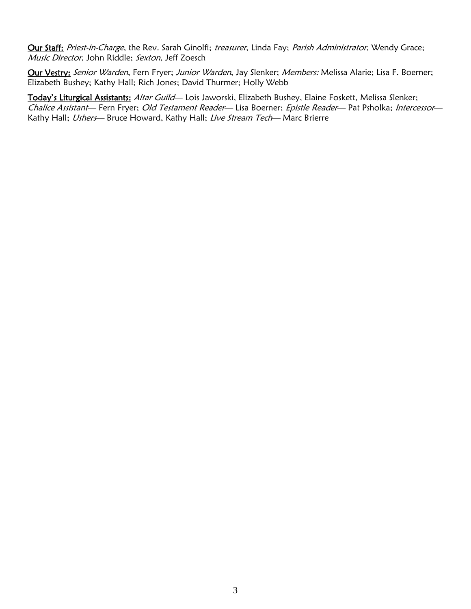Our Staff: Priest-in-Charge, the Rev. Sarah Ginolfi; treasurer, Linda Fay; Parish Administrator, Wendy Grace; Music Director, John Riddle; Sexton, Jeff Zoesch

Our Vestry: Senior Warden, Fern Fryer; Junior Warden, Jay Slenker; Members: Melissa Alarie; Lisa F. Boerner; Elizabeth Bushey; Kathy Hall; Rich Jones; David Thurmer; Holly Webb

Today's Liturgical Assistants: Altar Guild-Lois Jaworski, Elizabeth Bushey, Elaine Foskett, Melissa Slenker; Chalice Assistant- Fern Fryer; Old Testament Reader-Lisa Boerner; Epistle Reader- Pat Psholka; Intercessor-Kathy Hall; Ushers-Bruce Howard, Kathy Hall; Live Stream Tech-Marc Brierre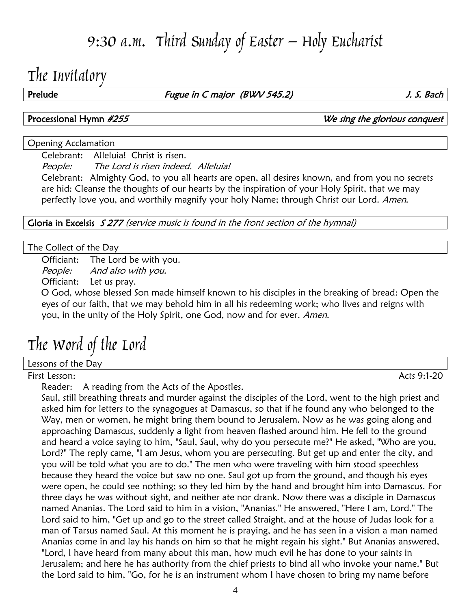# 9:30 a.m. Third Sunday of Easter – Holy Eucharist

# The Invitatory

Prelude Fugue in C major (BWV 545.2) Frelude J. S. Bach

Processional Hymn  $\#255$  **Processional Hymn**  $\#255$ 

### Opening Acclamation

Celebrant: Alleluia! Christ is risen.

People: The Lord is risen indeed. Alleluia!

Celebrant: Almighty God, to you all hearts are open, all desires known, and from you no secrets are hid: Cleanse the thoughts of our hearts by the inspiration of your Holy Spirit, that we may perfectly love you, and worthily magnify your holy Name; through Christ our Lord. Amen.

Gloria in Excelsis S 277 (service music is found in the front section of the hymnal)

### The Collect of the Day

Officiant: The Lord be with you.

People: And also with you.

Officiant: Let us pray.

O God, whose blessed Son made himself known to his disciples in the breaking of bread: Open the eyes of our faith, that we may behold him in all his redeeming work; who lives and reigns with you, in the unity of the Holy Spirit, one God, now and for ever. Amen.

# The Word of the Lord

## Lessons of the Day

First Lesson: Acts 9:1-20

Reader: A reading from the Acts of the Apostles.

Saul, still breathing threats and murder against the disciples of the Lord, went to the high priest and asked him for letters to the synagogues at Damascus, so that if he found any who belonged to the Way, men or women, he might bring them bound to Jerusalem. Now as he was going along and approaching Damascus, suddenly a light from heaven flashed around him. He fell to the ground and heard a voice saying to him, "Saul, Saul, why do you persecute me?" He asked, "Who are you, Lord?" The reply came, "I am Jesus, whom you are persecuting. But get up and enter the city, and you will be told what you are to do." The men who were traveling with him stood speechless because they heard the voice but saw no one. Saul got up from the ground, and though his eyes were open, he could see nothing; so they led him by the hand and brought him into Damascus. For three days he was without sight, and neither ate nor drank. Now there was a disciple in Damascus named Ananias. The Lord said to him in a vision, "Ananias." He answered, "Here I am, Lord." The Lord said to him, "Get up and go to the street called Straight, and at the house of Judas look for a man of Tarsus named Saul. At this moment he is praying, and he has seen in a vision a man named Ananias come in and lay his hands on him so that he might regain his sight." But Ananias answered, "Lord, I have heard from many about this man, how much evil he has done to your saints in Jerusalem; and here he has authority from the chief priests to bind all who invoke your name." But the Lord said to him, "Go, for he is an instrument whom I have chosen to bring my name before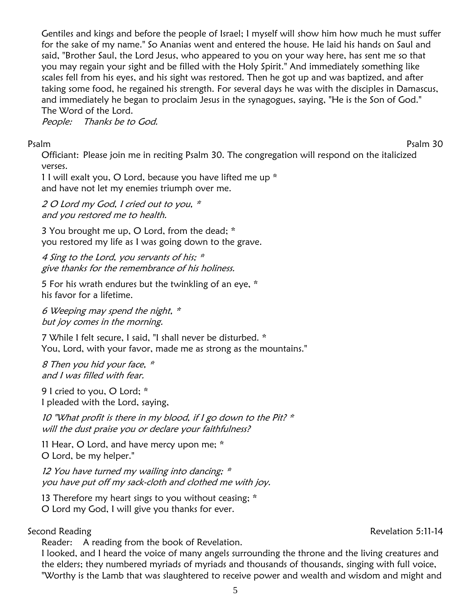Gentiles and kings and before the people of Israel; I myself will show him how much he must suffer for the sake of my name." So Ananias went and entered the house. He laid his hands on Saul and said, "Brother Saul, the Lord Jesus, who appeared to you on your way here, has sent me so that you may regain your sight and be filled with the Holy Spirit." And immediately something like scales fell from his eyes, and his sight was restored. Then he got up and was baptized, and after taking some food, he regained his strength. For several days he was with the disciples in Damascus, and immediately he began to proclaim Jesus in the synagogues, saying, "He is the Son of God." The Word of the Lord.

People: Thanks be to God.

Psalm Psalm 30

Officiant: Please join me in reciting Psalm 30. The congregation will respond on the italicized verses.

1 I will exalt you, O Lord, because you have lifted me up \* and have not let my enemies triumph over me.

2 O Lord my God, I cried out to you,  $*$ and you restored me to health.

3 You brought me up, O Lord, from the dead; \* you restored my life as I was going down to the grave.

4 Sing to the Lord, you servants of his; \* give thanks for the remembrance of his holiness.

5 For his wrath endures but the twinkling of an eye, \* his favor for a lifetime.

6 Weeping may spend the night, \* but joy comes in the morning.

7 While I felt secure, I said, "I shall never be disturbed. \* You, Lord, with your favor, made me as strong as the mountains."

8 Then you hid your face, \* and I was filled with fear.

9 I cried to you, O Lord; \* I pleaded with the Lord, saying,

10 "What profit is there in my blood, if I go down to the Pit?  $*$ will the dust praise you or declare your faithfulness?

11 Hear, O Lord, and have mercy upon me; \* O Lord, be my helper."

12 You have turned my wailing into dancing; \* you have put off my sack-cloth and clothed me with joy.

13 Therefore my heart sings to you without ceasing; \* O Lord my God, I will give you thanks for ever.

## Second Reading Revelation 5:11-14

Reader: A reading from the book of Revelation.

I looked, and I heard the voice of many angels surrounding the throne and the living creatures and the elders; they numbered myriads of myriads and thousands of thousands, singing with full voice, "Worthy is the Lamb that was slaughtered to receive power and wealth and wisdom and might and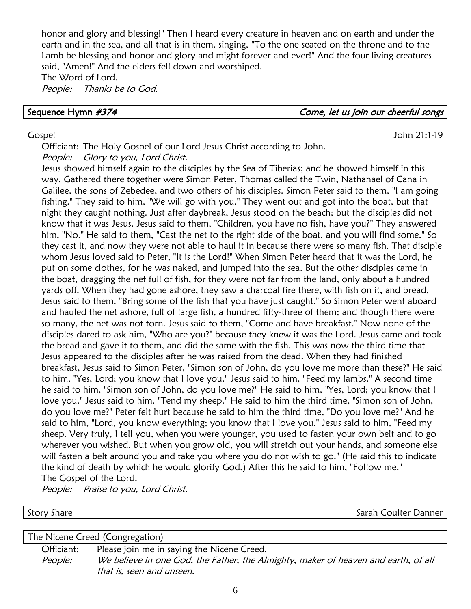honor and glory and blessing!" Then I heard every creature in heaven and on earth and under the earth and in the sea, and all that is in them, singing, "To the one seated on the throne and to the Lamb be blessing and honor and glory and might forever and ever!" And the four living creatures said, "Amen!" And the elders fell down and worshiped.

The Word of Lord. People: Thanks be to God.

Sequence Hymn #374 Sequence Hymn #374

### Gospel John 21:1-19

Officiant: The Holy Gospel of our Lord Jesus Christ according to John. People: Glory to you, Lord Christ.

Jesus showed himself again to the disciples by the Sea of Tiberias; and he showed himself in this way. Gathered there together were Simon Peter, Thomas called the Twin, Nathanael of Cana in Galilee, the sons of Zebedee, and two others of his disciples. Simon Peter said to them, "I am going fishing." They said to him, "We will go with you." They went out and got into the boat, but that night they caught nothing. Just after daybreak, Jesus stood on the beach; but the disciples did not know that it was Jesus. Jesus said to them, "Children, you have no fish, have you?" They answered him, "No." He said to them, "Cast the net to the right side of the boat, and you will find some." So they cast it, and now they were not able to haul it in because there were so many fish. That disciple whom Jesus loved said to Peter, "It is the Lord!" When Simon Peter heard that it was the Lord, he put on some clothes, for he was naked, and jumped into the sea. But the other disciples came in the boat, dragging the net full of fish, for they were not far from the land, only about a hundred yards off. When they had gone ashore, they saw a charcoal fire there, with fish on it, and bread. Jesus said to them, "Bring some of the fish that you have just caught." So Simon Peter went aboard and hauled the net ashore, full of large fish, a hundred fifty-three of them; and though there were so many, the net was not torn. Jesus said to them, "Come and have breakfast." Now none of the disciples dared to ask him, "Who are you?" because they knew it was the Lord. Jesus came and took the bread and gave it to them, and did the same with the fish. This was now the third time that Jesus appeared to the disciples after he was raised from the dead. When they had finished breakfast, Jesus said to Simon Peter, "Simon son of John, do you love me more than these?" He said to him, "Yes, Lord; you know that I love you." Jesus said to him, "Feed my lambs." A second time he said to him, "Simon son of John, do you love me?" He said to him, "Yes, Lord; you know that I love you." Jesus said to him, "Tend my sheep." He said to him the third time, "Simon son of John, do you love me?" Peter felt hurt because he said to him the third time, "Do you love me?" And he said to him, "Lord, you know everything; you know that I love you." Jesus said to him, "Feed my sheep. Very truly, I tell you, when you were younger, you used to fasten your own belt and to go wherever you wished. But when you grow old, you will stretch out your hands, and someone else will fasten a belt around you and take you where you do not wish to go." (He said this to indicate the kind of death by which he would glorify God.) After this he said to him, "Follow me." The Gospel of the Lord.

People: Praise to you, Lord Christ.

Story Share Story Share Share Share Share Share Share Share Share Share Share Share Share Share Share Share Share Share Share Share Share Share Share Share Share Share Share Share Share Share Share Share Share Share Share

The Nicene Creed (Congregation)

Officiant: Please join me in saying the Nicene Creed. People: We believe in one God, the Father, the Almighty, maker of heaven and earth, of all that is, seen and unseen.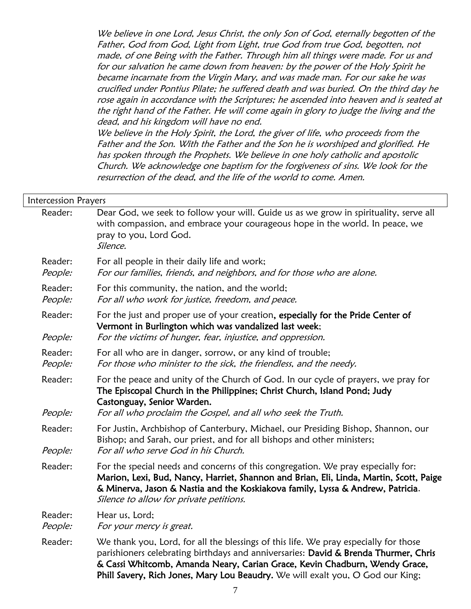We believe in one Lord, Jesus Christ, the only Son of God, eternally begotten of the Father, God from God, Light from Light, true God from true God, begotten, not made, of one Being with the Father. Through him all things were made. For us and for our salvation he came down from heaven: by the power of the Holy Spirit he became incarnate from the Virgin Mary, and was made man. For our sake he was crucified under Pontius Pilate; he suffered death and was buried. On the third day he rose again in accordance with the Scriptures; he ascended into heaven and is seated at the right hand of the Father. He will come again in glory to judge the living and the dead, and his kingdom will have no end.

We believe in the Holy Spirit, the Lord, the giver of life, who proceeds from the Father and the Son. With the Father and the Son he is worshiped and glorified. He has spoken through the Prophets. We believe in one holy catholic and apostolic Church. We acknowledge one baptism for the forgiveness of sins. We look for the resurrection of the dead, and the life of the world to come. Amen.

| <b>Intercession Prayers</b> |                                                                                                                                                                                                                                                                                                                                             |
|-----------------------------|---------------------------------------------------------------------------------------------------------------------------------------------------------------------------------------------------------------------------------------------------------------------------------------------------------------------------------------------|
| Reader:                     | Dear God, we seek to follow your will. Guide us as we grow in spirituality, serve all<br>with compassion, and embrace your courageous hope in the world. In peace, we<br>pray to you, Lord God.<br>Silence.                                                                                                                                 |
| Reader:<br>People:          | For all people in their daily life and work;<br>For our families, friends, and neighbors, and for those who are alone.                                                                                                                                                                                                                      |
| Reader:<br>People:          | For this community, the nation, and the world;<br>For all who work for justice, freedom, and peace.                                                                                                                                                                                                                                         |
| Reader:<br>People:          | For the just and proper use of your creation, especially for the Pride Center of<br>Vermont in Burlington which was vandalized last week;<br>For the victims of hunger, fear, injustice, and oppression.                                                                                                                                    |
| Reader:<br>People:          | For all who are in danger, sorrow, or any kind of trouble;<br>For those who minister to the sick, the friendless, and the needy.                                                                                                                                                                                                            |
| Reader:<br>People:          | For the peace and unity of the Church of God. In our cycle of prayers, we pray for<br>The Episcopal Church in the Philippines; Christ Church, Island Pond; Judy<br>Castonguay, Senior Warden.<br>For all who proclaim the Gospel, and all who seek the Truth.                                                                               |
| Reader:<br>People:          | For Justin, Archbishop of Canterbury, Michael, our Presiding Bishop, Shannon, our<br>Bishop; and Sarah, our priest, and for all bishops and other ministers;<br>For all who serve God in his Church.                                                                                                                                        |
| Reader:                     | For the special needs and concerns of this congregation. We pray especially for:<br>Marion, Lexi, Bud, Nancy, Harriet, Shannon and Brian, Eli, Linda, Martin, Scott, Paige<br>& Minerva, Jason & Nastia and the Koskiakova family, Lyssa & Andrew, Patricia.<br>Silence to allow for private petitions.                                     |
| Reader:<br>People:          | Hear us, Lord;<br>For your mercy is great.                                                                                                                                                                                                                                                                                                  |
| Reader:                     | We thank you, Lord, for all the blessings of this life. We pray especially for those<br>parishioners celebrating birthdays and anniversaries: David & Brenda Thurmer, Chris<br>& Cassi Whitcomb, Amanda Neary, Carian Grace, Kevin Chadburn, Wendy Grace,<br>Phill Savery, Rich Jones, Mary Lou Beaudry. We will exalt you, O God our King; |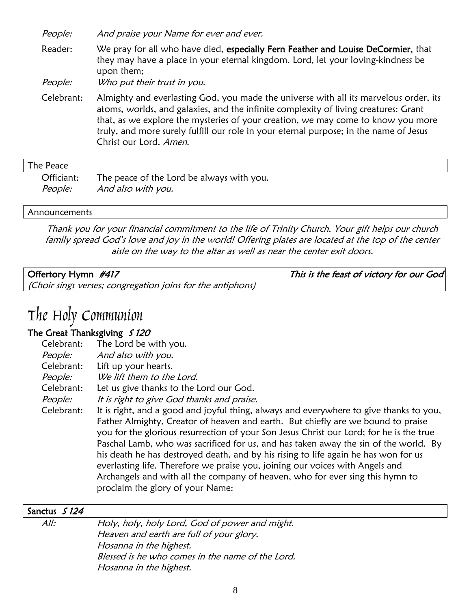People: And praise your Name for ever and ever.

Reader: We pray for all who have died, especially Fern Feather and Louise DeCormier, that they may have a place in your eternal kingdom. Lord, let your loving-kindness be upon them;

People: Who put their trust in you.

Celebrant: Almighty and everlasting God, you made the universe with all its marvelous order, its atoms, worlds, and galaxies, and the infinite complexity of living creatures: Grant that, as we explore the mysteries of your creation, we may come to know you more truly, and more surely fulfill our role in your eternal purpose; in the name of Jesus Christ our Lord. Amen.

### The Peace

| Officiant: The peace of the Lord be always with you. |
|------------------------------------------------------|
| People: And also with you.                           |

### **Announcements**

Thank you for your financial commitment to the life of Trinity Church. Your gift helps our church family spread God's love and joy in the world! Offering plates are located at the top of the center aisle on the way to the altar as well as near the center exit doors.

| Offertory Hymn #417                                        | This is the feast of victory for our God |
|------------------------------------------------------------|------------------------------------------|
| (Choir sings verses; congregation joins for the antiphons) |                                          |

## The Holy Communion

### The Great Thanksgiving  $\int$  120

| Celebrant:     | The Lord be with you.                                                                                                                                                                                                                                                                                                                                                                                                                                                                                                                                                                                                  |
|----------------|------------------------------------------------------------------------------------------------------------------------------------------------------------------------------------------------------------------------------------------------------------------------------------------------------------------------------------------------------------------------------------------------------------------------------------------------------------------------------------------------------------------------------------------------------------------------------------------------------------------------|
| <i>People:</i> | And also with you.                                                                                                                                                                                                                                                                                                                                                                                                                                                                                                                                                                                                     |
| Celebrant:     | Lift up your hearts.                                                                                                                                                                                                                                                                                                                                                                                                                                                                                                                                                                                                   |
| People:        | We lift them to the Lord.                                                                                                                                                                                                                                                                                                                                                                                                                                                                                                                                                                                              |
| Celebrant:     | Let us give thanks to the Lord our God.                                                                                                                                                                                                                                                                                                                                                                                                                                                                                                                                                                                |
| People:        | It is right to give God thanks and praise.                                                                                                                                                                                                                                                                                                                                                                                                                                                                                                                                                                             |
| Celebrant:     | It is right, and a good and joyful thing, always and everywhere to give thanks to you,<br>Father Almighty, Creator of heaven and earth. But chiefly are we bound to praise<br>you for the glorious resurrection of your Son Jesus Christ our Lord; for he is the true<br>Paschal Lamb, who was sacrificed for us, and has taken away the sin of the world. By<br>his death he has destroyed death, and by his rising to life again he has won for us<br>everlasting life. Therefore we praise you, joining our voices with Angels and<br>Archangels and with all the company of heaven, who for ever sing this hymn to |

proclaim the glory of your Name:

### Sanctus *S 124*

All: Holy, holy, holy Lord, God of power and might. Heaven and earth are full of your glory. Hosanna in the highest. Blessed is he who comes in the name of the Lord. Hosanna in the highest.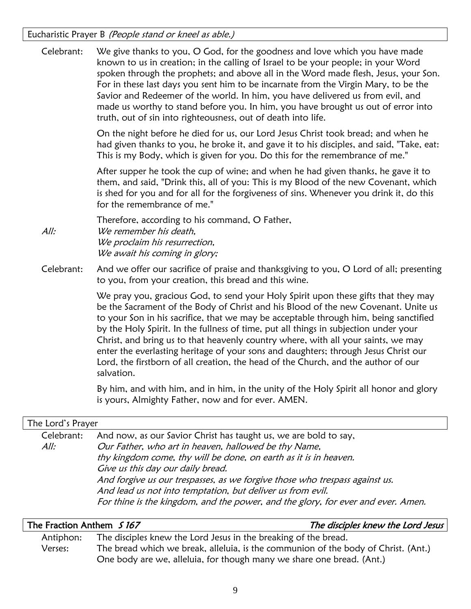Eucharistic Prayer B (People stand or kneel as able.)

Celebrant: We give thanks to you, O God, for the goodness and love which you have made known to us in creation; in the calling of Israel to be your people; in your Word spoken through the prophets; and above all in the Word made flesh, Jesus, your Son. For in these last days you sent him to be incarnate from the Virgin Mary, to be the Savior and Redeemer of the world. In him, you have delivered us from evil, and made us worthy to stand before you. In him, you have brought us out of error into truth, out of sin into righteousness, out of death into life.

> On the night before he died for us, our Lord Jesus Christ took bread; and when he had given thanks to you, he broke it, and gave it to his disciples, and said, "Take, eat: This is my Body, which is given for you. Do this for the remembrance of me."

> After supper he took the cup of wine; and when he had given thanks, he gave it to them, and said, "Drink this, all of you: This is my Blood of the new Covenant, which is shed for you and for all for the forgiveness of sins. Whenever you drink it, do this for the remembrance of me."

Therefore, according to his command, O Father, All: We remember his death, We proclaim his resurrection, We await his coming in glory;

Celebrant: And we offer our sacrifice of praise and thanksgiving to you, O Lord of all; presenting to you, from your creation, this bread and this wine.

> We pray you, gracious God, to send your Holy Spirit upon these gifts that they may be the Sacrament of the Body of Christ and his Blood of the new Covenant. Unite us to your Son in his sacrifice, that we may be acceptable through him, being sanctified by the Holy Spirit. In the fullness of time, put all things in subjection under your Christ, and bring us to that heavenly country where, with all your saints, we may enter the everlasting heritage of your sons and daughters; through Jesus Christ our Lord, the firstborn of all creation, the head of the Church, and the author of our salvation.

> By him, and with him, and in him, in the unity of the Holy Spirit all honor and glory is yours, Almighty Father, now and for ever. AMEN.

| The Lord's Prayer |                                                                                  |  |
|-------------------|----------------------------------------------------------------------------------|--|
| Celebrant:        | And now, as our Savior Christ has taught us, we are bold to say,                 |  |
| All:              | Our Father, who art in heaven, hallowed be thy Name,                             |  |
|                   | thy kingdom come, thy will be done, on earth as it is in heaven.                 |  |
|                   | Give us this day our daily bread.                                                |  |
|                   | And forgive us our trespasses, as we forgive those who trespass against us.      |  |
|                   | And lead us not into temptation, but deliver us from evil.                       |  |
|                   | For thine is the kingdom, and the power, and the glory, for ever and ever. Amen. |  |
|                   |                                                                                  |  |

| The Fraction Anthem 5167 |                                                                                    | The disciples knew the Lord Jesus |  |
|--------------------------|------------------------------------------------------------------------------------|-----------------------------------|--|
| Antiphon:                | The disciples knew the Lord Jesus in the breaking of the bread.                    |                                   |  |
| Verses:                  | The bread which we break, alleluia, is the communion of the body of Christ. (Ant.) |                                   |  |
|                          | One body are we, alleluia, for though many we share one bread. (Ant.)              |                                   |  |